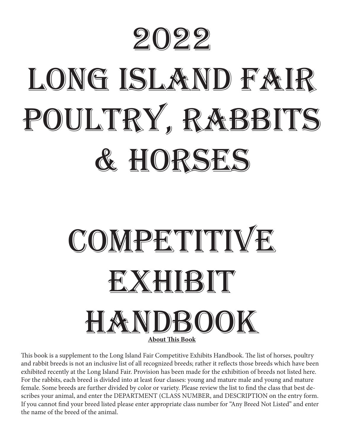

# LONG ISLAND FAIR POULTRY, RABBITS & Horses



This book is a supplement to the Long Island Fair Competitive Exhibits Handbook. The list of horses, poultry and rabbit breeds is not an inclusive list of all recognized breeds; rather it reflects those breeds which have been exhibited recently at the Long Island Fair. Provision has been made for the exhibition of breeds not listed here. For the rabbits, each breed is divided into at least four classes: young and mature male and young and mature female. Some breeds are further divided by color or variety. Please review the list to find the class that best describes your animal, and enter the DEPARTMENT (CLASS NUMBER, and DESCRIPTION on the entry form. If you cannot find your breed listed please enter appropriate class number for "Any Breed Not Listed" and enter the name of the breed of the animal.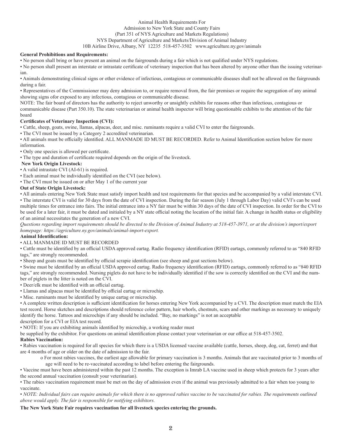#### Animal Health Requirements For Admission to New York State and County Fairs (Part 351 of NYS Agriculture and Markets Regulations) NYS Department of Agriculture and Markets/Division of Animal Industry 10B Airline Drive, Albany, NY 12235 518-457-3502 www.agriculture.ny.gov/animals

#### **General Prohibitions and Requirements:**

• No person shall bring or have present an animal on the fairgrounds during a fair which is not qualified under NYS regulations.

• No person shall present an interstate or intrastate certificate of veterinary inspection that has been altered by anyone other than the issuing veterinarian.

• Animals demonstrating clinical signs or other evidence of infectious, contagious or communicable diseases shall not be allowed on the fairgrounds during a fair.

• Representatives of the Commissioner may deny admission to, or require removal from, the fair premises or require the segregation of any animal showing signs ofor exposed to any infectious, contagious or communicable disease.

NOTE: The fair board of directors has the authority to reject unworthy or unsightly exhibits for reasons other than infectious, contagious or communicable disease (Part 350.10). The state veterinarian or animal health inspector will bring questionable exhibits to the attention of the fair board

#### **Certificates of Veterinary Inspection (CVI):**

• Cattle, sheep, goats, swine, llamas, alpacas, deer, and misc. ruminants require a valid CVI to enter the fairgrounds.

• The CVI must be issued by a Category 2 accredited veterinarian.

• All animals must be officially identified. ALL MANMADE ID MUST BE RECORDED. Refer to Animal Identification section below for more information.

• Only one species is allowed per certificate.

• The type and duration of certificate required depends on the origin of the livestock.

#### **New York Origin Livestock:**

• A valid intrastate CVI (AI-61) is required.

• Each animal must be individually identified on the CVI (see below).

• The CVI must be issued on or after May 1 of the current year

#### **Out of State Origin Livestock:**

• All animals entering New York State must satisfy import health and test requirements for that species and be accompanied by a valid interstate CVI. • The interstate CVI is valid for 30 days from the date of CVI inspection. During the fair season (July 1 through Labor Day) valid CVI's can be used multiple times for entrance into fairs. The initial entrance into a NY fair must be within 30 days of the date of CVI inspection. In order for the CVI to be used for a later fair, it must be dated and initialed by a NY state official noting the location of the initial fair. A change in health status or eligibility of an animal necessitates the generation of a new CVI.

*Questions regarding import requirements should be directed to the Division of Animal Industry at 518-457-3971, or at the division's import/export homepage: https://agriculture.ny.gov/animals/animal-import-export.*

#### **Animal Identification:**

#### • ALL MANMADE ID MUST BE RECORDED

• Cattle must be identified by an official USDA approved eartag. Radio frequency identification (RFID) eartags, commonly referred to as "840 RFID tags," are strongly recommended.

• Sheep and goats must be identified by official scrapie identification (see sheep and goat sections below).

• Swine must be identified by an official USDA approved eartag. Radio frequency identification (RFID) eartags, commonly referred to as "840 RFID tags," are strongly recommended. Nursing piglets do not have to be individually identified if the sow is correctly identified on the CVI and the number of piglets in the litter is noted on the CVI.

• Deer/elk must be identified with an official eartag.

#### • Llamas and alpacas must be identified by official eartag or microchip.

• Misc. ruminants must be identified by unique eartag or microchip.

• A complete written description is sufficient identification for horses entering New York accompanied by a CVI. The description must match the EIA test record. Horse sketches and descriptions should reference color pattern, hair whorls, chestnuts, scars and other markings as necessary to uniquely identify the horse. Tattoos and microchips if any should be included. "Bay, no markings" is not an acceptable

description for a CVI or EIA test record.

• NOTE: If you are exhibiting animals identified by microchip, a working reader must

be supplied by the exhibitor. For questions on animal identification please contact your veterinarian or our office at 518-457-3502.

#### **Rabies Vaccination:**

• Rabies vaccination is required for all species for which there is a USDA licensed vaccine available (cattle, horses, sheep, dog, cat, ferret) and that are 4 months of age or older on the date of admission to the fair.

o For most rabies vaccines, the earliest age allowable for primary vaccination is 3 months. Animals that are vaccinated prior to 3 months of age will need to be re-vaccinated according to label before entering the fairgrounds.

• Vaccine must have been administered within the past 12 months. The exception is Imrab LA vaccine used in sheep which protects for 3 years after the second annual vaccination (consult your veterinarian).

• The rabies vaccination requirement must be met on the day of admission even if the animal was previously admitted to a fair when too young to vaccinate.

• *NOTE: Individual fairs can require animals for which there is no approved rabies vaccine to be vaccinated for rabies. The requirements outlined above would apply. The fair is responsible for notifying exhibitors.* 

#### **The New York State Fair requires vaccination for all livestock species entering the grounds.**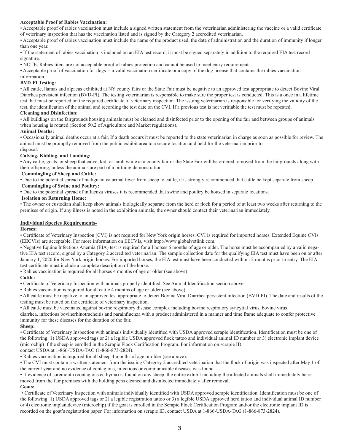#### **Acceptable Proof of Rabies Vaccination:**

• Acceptable proof of rabies vaccination must include a signed written statement from the veterinarian administering the vaccine or a valid certificate of veterinary inspection that has the vaccination listed and is signed by the Category 2 accredited veterinarian.

• Acceptable proof of rabies vaccination must include the name of the product used, the date of administration and the duration of immunity if longer than one year.

• If the statement of rabies vaccination is included on an EIA test record, it must be signed separately in addition to the required EIA test record signature.

• NOTE: Rabies titers are not acceptable proof of rabies protection and cannot be used to meet entry requirements.

• Acceptable proof of vaccination for dogs is a valid vaccination certificate or a copy of the dog license that contains the rabies vaccination information.

#### **BVD-PI Testing:**

• All cattle, llamas and alpacas exhibited at NY county fairs or the State Fair must be negative to an approved test appropriate to detect Bovine Viral Diarrhea persistent infection (BVD-PI). The testing veterinarian is responsible to make sure the proper test is conducted. This is a once in a lifetime test that must be reported on the required certificate of veterinary inspection. The issuing veterinarian is responsible for verifying the validity of the test, the identification of the animal and recording the test date on the CVI. If a previous test is not verifiable the test must be repeated.

#### **Cleaning and Disinfection**:

• All buildings on the fairgrounds housing animals must be cleaned and disinfected prior to the opening of the fair and between groups of animals when housing is rotated (Section 50.2 of Agriculture and Market regulations).

#### **Animal Deaths:**

• Occasionally animal deaths occur at a fair. If a death occurs it must be reported to the state veterinarian in charge as soon as possible for review. The animal must be promptly removed from the public exhibit area to a secure location and held for the veterinarian prior to

#### disposal.

#### **Calving, Kidding, and Lambing:**

• Any cattle, goats, or sheep that calve, kid, or lamb while at a county fair or the State Fair will be ordered removed from the fairgrounds along with their offspring, unless the animals are part of a birthing demonstration.

#### **Commingling of Sheep and Cattle:**

• Due to the potential spread of malignant catarrhal fever from sheep to cattle, it is strongly recommended that cattle be kept separate from sheep.  **Commingling of Swine and Poultry:** 

**•** Due to the potential spread of influenza viruses it is recommended that swine and poultry be housed in separate locations.

#### **Isolation on Returning Home:**

• The owner or custodian shall keep show animals biologically separate from the herd or flock for a period of at least two weeks after returning to the premises of origin. If any illness is noted in the exhibition animals, the owner should contact their veterinarian immediately.

#### **Individual Species Requirements-**

#### **Horses:**

• Certificate of Veterinary Inspection (CVI) is not required for New York origin horses. CVI is required for imported horses. Extended Equine CVIs (EECVIs) are acceptable. For more information on EECVIs, visit http://www.globalvetlink.com.

• Negative Equine Infectious Anemia (EIA) test is required for all horses 6 months of age or older. The horse must be accompanied by a valid negative EIA test record, signed by a Category 2 accredited veterinarian. The sample collection date for the qualifying EIA test must have been on or after January 1, 2020 for New York origin horses. For imported horses, the EIA test must have been conducted within 12 months prior to entry. The EIA test certificate must include a complete description of the horse.

• Rabies vaccination is required for all horses 4 months of age or older (see above)

#### **Cattle:**

• Certificate of Veterinary Inspection with animals properly identified. See Animal Identification section above.

• Rabies vaccination is required for all cattle 4 months of age or older (see above).

• All cattle must be negative to an approved test appropriate to detect Bovine Viral Diarrhea persistent infection (BVD-PI). The date and results of the testing must be noted on the certificate of veterinary inspection.

• All cattle must be vaccinated against bovine respiratory disease complex including bovine respiratory syncytial virus, bovine virus

diarrhea, infectious bovinerhinotracheitis and parainfluenza with a product administered in a manner and time frame adequate to confer protective immunity for these diseases for the duration of the fair.

#### **Sheep:**

• Certificate of Veterinary Inspection with animals individually identified with USDA approved scrapie identification. Identification must be one of the following: 1) USDA approved tags or 2) a legible USDA approved flock tattoo and individual animal ID number or 3) electronic implant device (microchip) if the sheep is enrolled in the Scrapie Flock Certification Program. For information on scrapie ID,

contact USDA at 1-866-USDA-TAG (1-866-873-2824).

• Rabies vaccination is required for all sheep 4 months of age or older (see above).

• The CVI must contain a written statement from the issuing Category 2 accredited veterinarian that the flock of origin was inspected after May 1 of the current year and no evidence of contagious, infectious or communicable diseases was found.

• If evidence of soremouth (contagious ecthyma) is found on any sheep, the entire exhibit including the affected animals shall immediately be removed from the fair premises with the holding pens cleaned and disinfected immediately after removal. **Goats:** 

 • Certificate of Veterinary Inspection with animals individually identified with USDA approved scrapie identification. Identification must be one of the following: 1) USDA approved tags or 2) a legible registration tattoo or 3) a legible USDA approved herd tattoo and individual animal ID number or 4) electronic implantdevice (microchip) if the goat is enrolled in the Scrapie Flock Certification Program and/or the electronic implant ID is recorded on the goat's registration paper. For information on scrapie ID, contact USDA at 1-866-USDA-TAG (1-866-873-2824).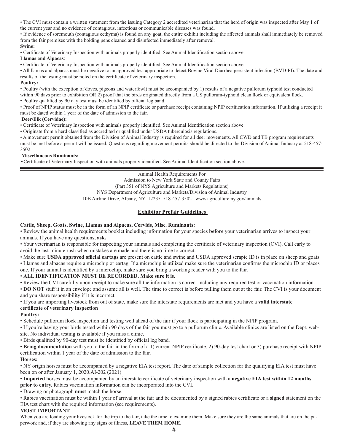• The CVI must contain a written statement from the issuing Category 2 accredited veterinarian that the herd of origin was inspected after May 1 of the current year and no evidence of contagious, infectious or communicable diseases was found.

• If evidence of soremouth (contagious ecthyma) is found on any goat, the entire exhibit including the affected animals shall immediately be removed from the fair premises with the holding pens cleaned and disinfected immediately after removal.

#### **Swine:**

• Certificate of Veterinary Inspection with animals properly identified. See Animal Identification section above.

#### **Llamas and Alpacas**:

• Certificate of Veterinary Inspection with animals properly identified. See Animal Identification section above.

• All llamas and alpacas must be negative to an approved test appropriate to detect Bovine Viral Diarrhea persistent infection (BVD-PI). The date and results of the testing must be noted on the certificate of veterinary inspection.

#### **Poultry:**

• Poultry (with the exception of doves, pigeons and waterfowl) must be accompanied by 1) results of a negative pullorum typhoid test conducted within 90 days prior to exhibition OR 2) proof that the birds originated directly from a US pullorum-typhoid clean flock or equivalent flock. • Poultry qualified by 90 day test must be identified by official leg band.

• Proof of NPIP status must be in the form of an NPIP certificate or purchase receipt containing NPIP certification information. If utilizing a receipt it must be dated within 1 year of the date of admission to the fair.

#### **Deer/Elk (Cervidae):**

• Certificate of Veterinary Inspection with animals properly identified. See Animal Identification section above.

• Originate from a herd classified as accredited or qualified under USDA tuberculosis regulations.

• A movement permit obtained from the Division of Animal Industry is required for all deer movements. All CWD and TB program requirements must be met before a permit will be issued. Questions regarding movement permits should be directed to the Division of Animal Industry at 518-457- 3502.

#### **Miscellaneous Ruminants:**

•Certificate of Veterinary Inspection with animals properly identified. See Animal Identification section above.

Animal Health Requirements For Admission to New York State and County Fairs (Part 351 of NYS Agriculture and Markets Regulations) NYS Department of Agriculture and Markets/Division of Animal Industry 10B Airline Drive, Albany, NY 12235 518-457-3502 www.agriculture.ny.gov/animals

#### **Exhibitor Prefair Guidelines**

#### **Cattle, Sheep, Goats, Swine, Llamas and Alpacas, Cervids, Misc. Ruminants:**

• Review the animal health requirements booklet including information for your species **before** your veterinarian arrives to inspect your animals. If you have any questions, **ask.**

• Your veterinarian is responsible for inspecting your animals and completing the certificate of veterinary inspection (CVI). Call early to avoid the last-minute rush when mistakes are made and there is no time to correct.

• Make sure **USDA approved official eartags** are present on cattle and swine and USDA approved scrapie ID is in place on sheep and goats. • Llamas and alpacas require a microchip or eartag. If a microchip is utilized make sure the veterinarian confirms the microchip ID or places

one. If your animal is identified by a microchip, make sure you bring a working reader with you to the fair.

#### • **ALL IDENTIFICATION MUST BE RECORDED. Make sure it is.**

• Review the CVI carefully upon receipt to make sure all the information is correct including any required test or vaccination information.

• **DO NOT** stuff it in an envelope and assume all is well. The time to correct is before pulling them out at the fair. The CVI is your document and you share responsibility if it is incorrect.

• If you are importing livestock from out of state, make sure the interstate requirements are met and you have a **valid interstate certificate of veterinary inspection**

#### **Poultry:**

• Schedule pullorum flock inspection and testing well ahead of the fair if your flock is participating in the NPIP program.

• If you're having your birds tested within 90 days of the fair you must go to a pullorum clinic. Available clinics are listed on the Dept. website. No individual testing is available if you miss a clinic.

• Birds qualified by 90-day test must be identified by official leg band.

• **Bring documentation** with you to the fair in the form of a 1) current NPIP certificate, 2) 90-day test chart or 3) purchase receipt with NPIP certification within 1 year of the date of admission to the fair.

#### **Horses:**

• NY origin horses must be accompanied by a negative EIA test report. The date of sample collection for the qualifying EIA test must have been on or after January 1, 2020.AI-202 (2021)

• **Imported** horses must be accompanied by an interstate certificate of veterinary inspection with a **negative EIA test within 12 months prior to entry.** Rabies vaccination information can be incorporated into the CVI.

• Drawing or photograph **must** match the horse.

• Rabies vaccination must be within 1 year of arrival at the fair and be documented by a signed rabies certificate or a **signed** statement on the EIA test chart with the required information (see requirements).

#### **MOST IMPORTANT**

When you are loading your livestock for the trip to the fair, take the time to examine them. Make sure they are the same animals that are on the paperwork and, if they are showing any signs of illness, **LEAVE THEM HOME.**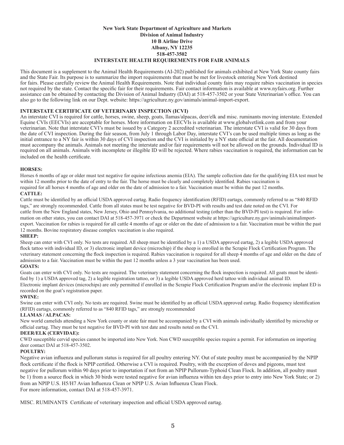#### **New York State Department of Agriculture and Markets Division of Animal Industry 10 B Airline Drive Albany, NY 12235 518-457-3502 INTERSTATE HEALTH REQUIREMENTS FOR FAIR ANIMALS**

This document is a supplement to the Animal Health Requirements (AI-202) published for animals exhibited at New York State county fairs and the State Fair. Its purpose is to summarize the import requirements that must be met for livestock entering New York destined for fairs. Please carefully review the Animal Health Requirements. Note that individual county fairs may require rabies vaccination in species not required by the state. Contact the specific fair for their requirements. Fair contact information is available at www.nyfairs.org. Further assistance can be obtained by contacting the Division of Animal Industry (DAI) at 518-457-3502 or your State Veterinarian's office. You can also go to the following link on our Dept. website: https://agriculture.ny.gov/animals/animal-import-export.

#### **INTERSTATE CERTIFICATE OF VETERINARY INSPECTION (ICVI)**

An interstate CVI is required for cattle, horses, swine, sheep, goats, llamas/alpacas, deer/elk and misc. ruminants moving interstate. Extended Equine CVIs (EECVIs) are acceptable for horses. More information on EECVIs is available at www.globalvetlink.com and from your veterinarian. Note that interstate CVI's must be issued by a Category 2 accredited veterinarian. The interstate CVI is valid for 30 days from the date of CVI inspection. During the fair season, from July 1 through Labor Day, interstate CVI's can be used multiple times as long as the initial entrance to a NY fair is within 30 days of CVI inspection and the CVI is initialed by a NY state official at the fair. All documentation must accompany the animals. Animals not meeting the interstate and/or fair requirements will not be allowed on the grounds. Individual ID is required on all animals. Animals with incomplete or illegible ID will be rejected. Where rabies vaccination is required, the information can be included on the health certificate.

#### **HORSES:**

Horses 6 months of age or older must test negative for equine infectious anemia (EIA). The sample collection date for the qualifying EIA test must be within 12 months prior to the date of entry to the fair. The horse must be clearly and completely identified. Rabies vaccination is required for all horses 4 months of age and older on the date of admission to a fair. Vaccination must be within the past 12 months.

#### **CATTLE:**

Cattle must be identified by an official USDA approved eartag. Radio frequency identification (RFID) eartags, commonly referred to as "840 RFID tags," are strongly recommended. Cattle from all states must be test negative for BVD-PI with results and test date noted on the CVI. For cattle from the New England states, New Jersey, Ohio and Pennsylvania, no additional testing (other than the BVD-PI test) is required. For information on other states, you can contact DAI at 518-457-3971 or check the Department website at https://agriculture.ny.gov/animals/animalimportexport. Vaccination for rabies is required for all cattle 4 months of age or older on the date of admission to a fair. Vaccination must be within the past 12 months. Bovine respiratory disease complex vaccination is also required. **SHEEP:**

Sheep can enter with CVI only. No tests are required. All sheep must be identified by a 1) a USDA approved eartag, 2) a legible USDA approved flock tattoo with individual ID, or 3) electronic implant device (microchip) if the sheep is enrolled in the Scrapie Flock Certification Program. The veterinary statement concerning the flock inspection is required. Rabies vaccination is required for all sheep 4 months of age and older on the date of admission to a fair. Vaccination must be within the past 12 months unless a 3 year vaccination has been used.

#### **GOATS:**

Goats can enter with CVI only. No tests are required. The veterinary statement concerning the flock inspection is required. All goats must be identified by 1) a USDA approved tag, 2) a legible registration tattoo, or 3) a legible USDA approved herd tattoo with individual animal ID. Electronic implant devices (microchips) are only permitted if enrolled in the Scrapie Flock Certification Program and/or the electronic implant ED is recorded on the goat's registration paper.

#### **SWINE:**

Swine can enter with CVI only. No tests are required. Swine must be identified by an official USDA approved eartag. Radio frequency identification (RFID) eartags, commonly referred to as "840 RFID tags," are strongly recommended

#### **LLAMAS / ALPACAS:**

New world camelids attending a New York county or state fair must be accompanied by a CVI with animals individually identified by microchip or official eartag. They must be test negative for BVD-PI with test date and results noted on the CVI.

#### **DEER/ELK (CERVIDAE):**

CWD susceptible cervid species cannot be imported into New York. Non CWD susceptible species require a permit. For information on importing deer contact DAI at 518-457-3502.

#### **POULTRY:**

Negative avian influenza and pullorum status is required for all poultry entering NY. Out of state poultry must be accompanied by the NPIP flock certificate if the flock is NPIP certified. Otherwise a CVI is required. Poultry, with the exception of doves and pigeons, must test negative for pullorum within 90 days prior to importation if not from an NPIP Pullorum-Typhoid Clean Flock. In addition, all poultry must be 1) from a source flock in which 30 birds were tested negative for avian influenza within ten days prior to entry into New York State; or 2) from an NPIP U.S. H5/H7 Avian Influenza Clean or NPIP U.S. Avian Influenza Clean Flock. For more information, contact DAI at 518-457-3971.

MISC. RUMINANTS Certificate of veterinary inspection and official USDA approved eartag.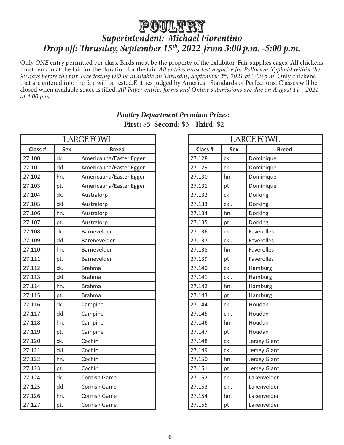## Poultry *Superintendent: Michael Fiorentino Drop off: Thrusday, September 15th, 2022 from 3:00 p.m. -5:00 p.m.*

Only *ONE* entry permitted per class. Birds must be the property of the exhibitor. Fair supplies cages. All chickens must remain at the fair for the duration for the fair. *All entries must test negative for Pollorum-Typhoid within the 90 days before the fair. Free testing will be available on Thrusday, September 2nd, 2021 at 3:00 p.m.* Only chickens that are entered into the fair will be tested.Entries judged by American Standards of Perfections. Classes will be closed when available space is filled. *All Paper entries forms and Online submissions are due on August 11th, 2021 at 4:00 p.m*.

|                                       | LARGE FOWL |                         |  |  |
|---------------------------------------|------------|-------------------------|--|--|
| Class #<br><b>Sex</b><br><b>Breed</b> |            |                         |  |  |
| 27.100                                | ck.        | Americauna/Easter Egger |  |  |
| 27.101                                | ckl.       | Americauna/Easter Egger |  |  |
| 27.102                                | hn.        | Americauna/Easter Egger |  |  |
| 27.103                                | pt.        | Americauna/Easter Egger |  |  |
| 27.104                                | ck.        | Australorp              |  |  |
| 27.105                                | ckl.       | Australorp              |  |  |
| 27.106                                | hn.        | Australorp              |  |  |
| 27.107                                | pt.        | Australorp              |  |  |
| 27.108                                | ck.        | Barnevelder             |  |  |
| 27.109                                | ckl.       | Barenevelder            |  |  |
| 27.110                                | hn.        | Barnevelder             |  |  |
| 27.111                                | pt.        | Barnevelder             |  |  |
| 27.112                                | ck.        | <b>Brahma</b>           |  |  |
| 27.113                                | ckl.       | <b>Brahma</b>           |  |  |
| 27.114                                | hn.        | <b>Brahma</b>           |  |  |
| 27.115                                | pt.        | <b>Brahma</b>           |  |  |
| 27.116                                | ck.        | Campine                 |  |  |
| 27.117                                | ckl.       | Campine                 |  |  |
| 27.118                                | hn.        | Campine                 |  |  |
| 27.119                                | pt.        | Campine                 |  |  |
| 27.120                                | ck.        | Cochin                  |  |  |
| 27.121                                | ckl.       | Cochin                  |  |  |
| 27.122                                | hn.        | Cochin                  |  |  |
| 27.123                                | pt.        | Cochin                  |  |  |
| 27.124                                | ck.        | Cornish Game            |  |  |
| 27.125                                | ckl.       | Cornish Game            |  |  |
| 27.126                                | hn.        | Cornish Game            |  |  |
| 27.127                                | pt.        | Cornish Game            |  |  |

#### *Poultry Department Premium Prizes:* **First:** \$5 **Second:** \$3 **Third:** \$2

| LARGE FOWL |                            |                     |  |  |
|------------|----------------------------|---------------------|--|--|
| Class #    | <b>Sex</b><br><b>Breed</b> |                     |  |  |
| 27.128     | ck.                        | Dominique           |  |  |
| 27.129     | ckl.                       | Dominique           |  |  |
| 27.130     | hn.                        | Dominique           |  |  |
| 27.131     | pt.                        | Dominique           |  |  |
| 27.132     | ck.                        | Dorking             |  |  |
| 27.133     | ckl.                       | Dorking             |  |  |
| 27.134     | hn.                        | Dorking             |  |  |
| 27.135     | pt.                        | Dorking             |  |  |
| 27.136     | ck.                        | Faverolles          |  |  |
| 27.137     | ckl.                       | Faverolles          |  |  |
| 27.138     | hn.                        | <b>Faverolles</b>   |  |  |
| 27.139     | pt.                        | Faverolles          |  |  |
| 27.140     | ck.                        | Hamburg             |  |  |
| 27.141     | ckl.                       | Hamburg             |  |  |
| 27.142     | hn.                        | Hamburg             |  |  |
| 27.143     | pt.                        | Hamburg             |  |  |
| 27.144     | ck.                        | Houdan              |  |  |
| 27.145     | ckl.                       | Houdan              |  |  |
| 27.146     | hn.                        | Houdan              |  |  |
| 27.147     | pt.                        | Houdan              |  |  |
| 27.148     | ck.                        | Jersey Giant        |  |  |
| 27.149     | ckl.                       | Jersey Giant        |  |  |
| 27.150     | hn.                        | <b>Jersey Giant</b> |  |  |
| 27.151     | pt.                        | <b>Jersey Giant</b> |  |  |
| 27.152     | ck.                        | Lakenvelder         |  |  |
| 27.153     | ckl.                       | Lakenvelder         |  |  |
| 27.154     | hn.                        | Lakenvelder         |  |  |
| 27.155     | pt.                        | Lakenvelder         |  |  |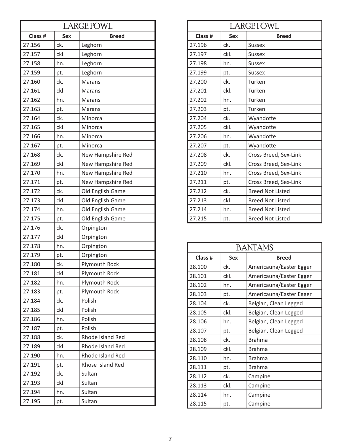| <b>LARGE FOWL</b>                     |      |                   |  |
|---------------------------------------|------|-------------------|--|
| Class #<br><b>Sex</b><br><b>Breed</b> |      |                   |  |
| 27.156                                | ck.  | Leghorn           |  |
| 27.157                                | ckl. | Leghorn           |  |
| 27.158                                | hn.  | Leghorn           |  |
| 27.159                                | pt.  | Leghorn           |  |
| 27.160                                | ck.  | <b>Marans</b>     |  |
| 27.161                                | ckl. | <b>Marans</b>     |  |
| 27.162                                | hn.  | Marans            |  |
| 27.163                                | pt.  | Marans            |  |
| 27.164                                | ck.  | Minorca           |  |
| 27.165                                | ckl. | Minorca           |  |
| 27.166                                | hn.  | Minorca           |  |
| 27.167                                | pt.  | Minorca           |  |
| 27.168                                | ck.  | New Hampshire Red |  |
| 27.169                                | ckl. | New Hampshire Red |  |
| 27.170                                | hn.  | New Hampshire Red |  |
| 27.171                                | pt.  | New Hampshire Red |  |
| 27.172                                | ck.  | Old English Game  |  |
| 27.173                                | ckl. | Old English Game  |  |
| 27.174                                | hn.  | Old English Game  |  |
| 27.175                                | pt.  | Old English Game  |  |
| 27.176                                | ck.  | Orpington         |  |
| 27.177                                | ckl. | Orpington         |  |
| 27.178                                | hn.  | Orpington         |  |
| 27.179                                | pt.  | Orpington         |  |
| 27.180                                | ck.  | Plymouth Rock     |  |
| 27.181                                | ckl. | Plymouth Rock     |  |
| 27.182                                | hn.  | Plymouth Rock     |  |
| 27.183                                | pt.  | Plymouth Rock     |  |
| 27.184                                | ck.  | Polish            |  |
| 27.185                                | ckl. | Polish            |  |
| 27.186                                | hn.  | Polish            |  |
| 27.187                                | pt.  | Polish            |  |
| 27.188                                | ck.  | Rhode Island Red  |  |
| 27.189                                | ckl. | Rhode Island Red  |  |
| 27.190                                | hn.  | Rhode Island Red  |  |
| 27.191                                | pt.  | Rhose Island Red  |  |
| 27.192                                | ck.  | Sultan            |  |
| 27.193                                | ckl. | Sultan            |  |
| 27.194                                | hn.  | Sultan            |  |
| 27.195                                | pt.  | Sultan            |  |

| <b>LARGE FOWL</b>                     |      |                         |  |  |  |
|---------------------------------------|------|-------------------------|--|--|--|
| Class #<br><b>Sex</b><br><b>Breed</b> |      |                         |  |  |  |
| 27.196                                | ck.  | <b>Sussex</b>           |  |  |  |
| 27.197                                | ckl. | <b>Sussex</b>           |  |  |  |
| 27.198                                | hn.  | <b>Sussex</b>           |  |  |  |
| 27.199                                | pt.  | <b>Sussex</b>           |  |  |  |
| 27.200                                | ck.  | Turken                  |  |  |  |
| 27.201                                | ckl. | Turken                  |  |  |  |
| 27.202                                | hn.  | Turken                  |  |  |  |
| 27.203                                | pt.  | Turken                  |  |  |  |
| 27.204                                | ck.  | Wyandotte               |  |  |  |
| 27.205                                | ckl. | Wyandotte               |  |  |  |
| 27.206                                | hn.  | Wyandotte               |  |  |  |
| 27.207                                | pt.  | Wyandotte               |  |  |  |
| 27.208                                | ck.  | Cross Breed, Sex-Link   |  |  |  |
| 27.209                                | ckl. | Cross Breed, Sex-Link   |  |  |  |
| 27.210                                | hn.  | Cross Breed, Sex-Link   |  |  |  |
| 27.211                                | pt.  | Cross Breed, Sex-Link   |  |  |  |
| 27.212                                | ck.  | <b>Breed Not Listed</b> |  |  |  |
| 27.213                                | ckl. | <b>Breed Not Listed</b> |  |  |  |
| 27.214                                | hn.  | <b>Breed Not Listed</b> |  |  |  |
| 27.215                                | pt.  | <b>Breed Not Listed</b> |  |  |  |

| <b>BANTAMS</b>                        |      |                         |  |
|---------------------------------------|------|-------------------------|--|
| Class #<br><b>Sex</b><br><b>Breed</b> |      |                         |  |
| 28.100                                | ck.  | Americauna/Easter Egger |  |
| 28.101                                | ckl. | Americauna/Easter Egger |  |
| 28.102                                | hn.  | Americauna/Easter Egger |  |
| 28.103                                | pt.  | Americauna/Easter Egger |  |
| 28.104                                | ck.  | Belgian, Clean Legged   |  |
| 28.105                                | ckl. | Belgian, Clean Legged   |  |
| 28.106                                | hn.  | Belgian, Clean Legged   |  |
| 28.107                                | pt.  | Belgian, Clean Legged   |  |
| 28.108                                | ck.  | <b>Brahma</b>           |  |
| 28.109                                | ckl. | <b>Brahma</b>           |  |
| 28.110                                | hn.  | <b>Brahma</b>           |  |
| 28.111                                | pt.  | <b>Brahma</b>           |  |
| 28.112                                | ck.  | Campine                 |  |
| 28.113                                | ckl. | Campine                 |  |
| 28.114                                | hn.  | Campine                 |  |
| 28.115                                | pt.  | Campine                 |  |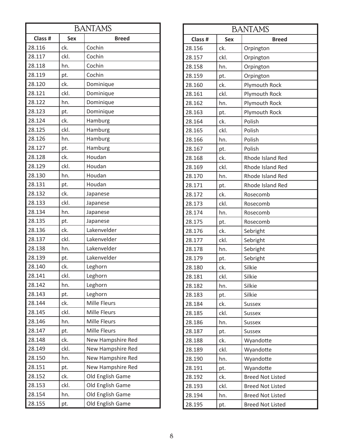| <b>BANTAMS</b> |                            |                     |  |  |
|----------------|----------------------------|---------------------|--|--|
| Class #        | <b>Sex</b><br><b>Breed</b> |                     |  |  |
| 28.116         | ck.                        | Cochin              |  |  |
| 28.117         | ckl.                       | Cochin              |  |  |
| 28.118         | hn.                        | Cochin              |  |  |
| 28.119         | pt.                        | Cochin              |  |  |
| 28.120         | ck.                        | Dominique           |  |  |
| 28.121         | ckl.                       | Dominique           |  |  |
| 28.122         | hn.                        | Dominique           |  |  |
| 28.123         | pt.                        | Dominique           |  |  |
| 28.124         | ck.                        | Hamburg             |  |  |
| 28.125         | ckl.                       | Hamburg             |  |  |
| 28.126         | hn.                        | Hamburg             |  |  |
| 28.127         | pt.                        | Hamburg             |  |  |
| 28.128         | ck.                        | Houdan              |  |  |
| 28.129         | ckl.                       | Houdan              |  |  |
| 28.130         | hn.                        | Houdan              |  |  |
| 28.131         | pt.                        | Houdan              |  |  |
| 28.132         | ck.                        | Japanese            |  |  |
| 28.133         | ckl.                       | Japanese            |  |  |
| 28.134         | hn.                        | Japanese            |  |  |
| 28.135         | pt.                        | Japanese            |  |  |
| 28.136         | ck.                        | Lakenvelder         |  |  |
| 28.137         | ckl.                       | Lakenvelder         |  |  |
| 28.138         | hn.                        | Lakenvelder         |  |  |
| 28.139         | pt.                        | Lakenvelder         |  |  |
| 28.140         | ck.                        | Leghorn             |  |  |
| 28.141         | ckl.                       | Leghorn             |  |  |
| 28.142         | hn.                        | Leghorn             |  |  |
| 28.143         | pt.                        | Leghorn             |  |  |
| 28.144         | ck.                        | <b>Mille Fleurs</b> |  |  |
| 28.145         | ckl.                       | Mille Fleurs        |  |  |
| 28.146         | hn.                        | Mille Fleurs        |  |  |
| 28.147         | pt.                        | Mille Fleurs        |  |  |
| 28.148         | ck.                        | New Hampshire Red   |  |  |
| 28.149         | ckl.                       | New Hampshire Red   |  |  |
| 28.150         | hn.                        | New Hampshire Red   |  |  |
| 28.151         | pt.                        | New Hampshire Red   |  |  |
| 28.152         | ck.                        | Old English Game    |  |  |
| 28.153         | ckl.                       | Old English Game    |  |  |
| 28.154         | hn.                        | Old English Game    |  |  |
| 28.155         | pt.                        | Old English Game    |  |  |

| <b>BANTAMS</b>        |      |                         |  |
|-----------------------|------|-------------------------|--|
| Class #<br><b>Sex</b> |      | <b>Breed</b>            |  |
| 28.156                | ck.  | Orpington               |  |
| 28.157                | ckl. | Orpington               |  |
| 28.158                | hn.  | Orpington               |  |
| 28.159                | pt.  | Orpington               |  |
| 28.160                | ck.  | Plymouth Rock           |  |
| 28.161                | ckl. | Plymouth Rock           |  |
| 28.162                | hn.  | Plymouth Rock           |  |
| 28.163                | pt.  | Plymouth Rock           |  |
| 28.164                | ck.  | Polish                  |  |
| 28.165                | ckl. | Polish                  |  |
| 28.166                | hn.  | Polish                  |  |
| 28.167                | pt.  | Polish                  |  |
| 28.168                | ck.  | Rhode Island Red        |  |
| 28.169                | ckl. | Rhode Island Red        |  |
| 28.170                | hn.  | Rhode Island Red        |  |
| 28.171                | pt.  | Rhode Island Red        |  |
| 28.172                | ck.  | Rosecomb                |  |
| 28.173                | ckl. | Rosecomb                |  |
| 28.174                | hn.  | Rosecomb                |  |
| 28.175                | pt.  | Rosecomb                |  |
| 28.176                | ck.  | Sebright                |  |
| 28.177                | ckl. | Sebright                |  |
| 28.178                | hn.  | Sebright                |  |
| 28.179                | pt.  | Sebright                |  |
| 28.180                | ck.  | Silkie                  |  |
| 28.181                | ckl. | Silkie                  |  |
| 28.182                | hn.  | Silkie                  |  |
| 28.183                | pt.  | Silkie                  |  |
| 28.184                | ck.  | <b>Sussex</b>           |  |
| 28.185                | ckl. | <b>Sussex</b>           |  |
| 28.186                | hn.  | <b>Sussex</b>           |  |
| 28.187                | pt.  | <b>Sussex</b>           |  |
| 28.188                | ck.  | Wyandotte               |  |
| 28.189                | ckl. | Wyandotte               |  |
| 28.190                | hn.  | Wyandotte               |  |
| 28.191                | pt.  | Wyandotte               |  |
| 28.192                | ck.  | <b>Breed Not Listed</b> |  |
| 28.193                | ckl. | <b>Breed Not Listed</b> |  |
| 28.194                | hn.  | <b>Breed Not Listed</b> |  |
| 28.195                | pt.  | <b>Breed Not Listed</b> |  |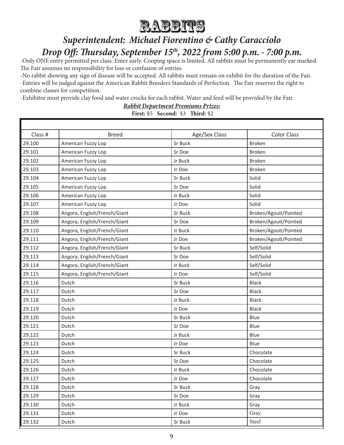

# *Superintendent: Michael Fiorentino & Cathy Caracciolo Drop Off: Thursday, September 15th, 2022 from 5:00 p.m. - 7:00 p.m.*

-Only ONE entry permitted per class. Enter early. Cooping space is limited. All rabbits must be permanently ear marked. The Fair assumes no responsibility for loss or confusion of entries.

-No rabbit showing any sign of disease will be accepted. All rabbits must remain on exhibit for the duration of the Fair. -Entries will be judged against the American Rabbit Breeders Standards of Perfection. The Fair reserves the right to combine classes for competition.

-Exhibitor must provide clay food and water crocks for each rabbit. Water and feed will be provided by the Fair.

*Rabbit Department Premiums Prizes:*

**First:** \$5 **Second:** \$3 **Third:** \$2

| Class # | <b>Breed</b>                 | Age/Sex Class | <b>Color Class</b>    |
|---------|------------------------------|---------------|-----------------------|
| 29.100  | American Fuzzy Lop           | Sr Buck       | <b>Broken</b>         |
| 29.101  | American Fuzzy Lop           | Sr Doe        | <b>Broken</b>         |
| 29.102  | American Fuzzy Lop           | Jr Buck       | <b>Broken</b>         |
| 29.103  | American Fuzzy Lop           | Jr Doe        | <b>Broken</b>         |
| 29.104  | American Fuzzy Lop           | Sr Buck       | Solid                 |
| 29.105  | American Fuzzy Lop           | Sr Doe        | Solid                 |
| 29.106  | American Fuzzy Lop           | Jr Buck       | Solid                 |
| 29.107  | American Fuzzy Lop           | Jr Doe        | Solid                 |
| 29.108  | Angora, English/French/Giant | Sr Buck       | Broken/Agouti/Pointed |
| 29.109  | Angora, English/French/Giant | Sr Doe        | Broken/Agouti/Pointed |
| 29.110  | Angora, English/French/Giant | Jr Buck       | Broken/Agouti/Pointed |
| 29.111  | Angora, English/French/Giant | Jr Doe        | Broken/Agouti/Pointed |
| 29.112  | Angora, English/French/Giant | Sr Buck       | Self/Solid            |
| 29.113  | Angora, English/French/Giant | Sr Doe        | Self/Solid            |
| 29.114  | Angora, English/French/Giant | Jr Buck       | Self/Solid            |
| 29.115  | Angora, English/French/Giant | Jr Doe        | Self/Solid            |
| 29.116  | Dutch                        | Sr Buck       | <b>Black</b>          |
| 29.117  | Dutch                        | Sr Doe        | <b>Black</b>          |
| 29.118  | Dutch                        | Jr Buck       | <b>Black</b>          |
| 29.119  | Dutch                        | Jr Doe        | <b>Black</b>          |
| 29.120  | Dutch                        | Sr Buck       | Blue                  |
| 29.121  | Dutch                        | Sr Doe        | Blue                  |
| 29.122  | Dutch                        | Jr Buck       | Blue                  |
| 29.123  | Dutch                        | Jr Doe        | Blue                  |
| 29.124  | Dutch                        | Sr Buck       | Chocolate             |
| 29.125  | Dutch                        | Sr Doe        | Chocolate             |
| 29.126  | Dutch                        | Jr Buck       | Chocolate             |
| 29.127  | Dutch                        | Jr Doe        | Chocolate             |
| 29.128  | Dutch                        | Sr Buck       | Gray                  |
| 29.129  | Dutch                        | Sr Doe        | Gray                  |
| 29.130  | Dutch                        | Jr Buck       | Gray                  |
| 29.131  | Dutch                        | Jr Doe        | Gray                  |
| 29.132  | Dutch                        | Sr Buck       | Steel                 |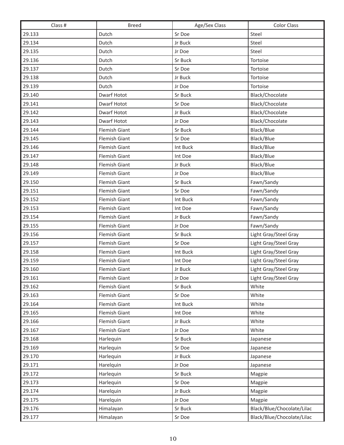| Class # | <b>Breed</b>         | Age/Sex Class | <b>Color Class</b>         |
|---------|----------------------|---------------|----------------------------|
| 29.133  | Dutch                | Sr Doe        | Steel                      |
| 29.134  | Dutch                | Jr Buck       | Steel                      |
| 29.135  | Dutch                | Jr Doe        | Steel                      |
| 29.136  | Dutch                | Sr Buck       | Tortoise                   |
| 29.137  | Dutch                | Sr Doe        | Tortoise                   |
| 29.138  | Dutch                | Jr Buck       | Tortoise                   |
| 29.139  | Dutch                | Jr Doe        | Tortoise                   |
| 29.140  | Dwarf Hotot          | Sr Buck       | Black/Chocolate            |
| 29.141  | Dwarf Hotot          | Sr Doe        | Black/Chocolate            |
| 29.142  | Dwarf Hotot          | Jr Buck       | Black/Chocolate            |
| 29.143  | Dwarf Hotot          | Jr Doe        | Black/Chocolate            |
| 29.144  | Flemish Giant        | Sr Buck       | Black/Blue                 |
| 29.145  | Flemish Giant        | Sr Doe        | Black/Blue                 |
| 29.146  | Flemish Giant        | Int Buck      | Black/Blue                 |
| 29.147  | Flemish Giant        | Int Doe       | Black/Blue                 |
| 29.148  | Flemish Giant        | Jr Buck       | Black/Blue                 |
| 29.149  | Flemish Giant        | Jr Doe        | Black/Blue                 |
| 29.150  | Flemish Giant        | Sr Buck       | Fawn/Sandy                 |
| 29.151  | <b>Flemish Giant</b> | Sr Doe        | Fawn/Sandy                 |
| 29.152  | Flemish Giant        | Int Buck      | Fawn/Sandy                 |
| 29.153  | Flemish Giant        | Int Doe       | Fawn/Sandy                 |
| 29.154  | Flemish Giant        | Jr Buck       | Fawn/Sandy                 |
| 29.155  | Flemish Giant        | Jr Doe        | Fawn/Sandy                 |
| 29.156  | Flemish Giant        | Sr Buck       | Light Gray/Steel Gray      |
| 29.157  | Flemish Giant        | Sr Doe        | Light Gray/Steel Gray      |
| 29.158  | Flemish Giant        | Int Buck      | Light Gray/Steel Gray      |
| 29.159  | Flemish Giant        | Int Doe       | Light Gray/Steel Gray      |
| 29.160  | <b>Flemish Giant</b> | Jr Buck       | Light Gray/Steel Gray      |
| 29.161  | Flemish Giant        | Jr Doe        | Light Gray/Steel Gray      |
| 29.162  | Flemish Giant        | Sr Buck       | White                      |
| 29.163  | Flemish Giant        | Sr Doe        | White                      |
| 29.164  | Flemish Giant        | Int Buck      | White                      |
| 29.165  | Flemish Giant        | Int Doe       | White                      |
| 29.166  | <b>Flemish Giant</b> | Jr Buck       | White                      |
| 29.167  | Flemish Giant        | Jr Doe        | White                      |
| 29.168  | Harlequin            | Sr Buck       | Japanese                   |
| 29.169  | Harlequin            | Sr Doe        | Japanese                   |
| 29.170  | Harlequin            | Jr Buck       | Japanese                   |
| 29.171  | Harelquin            | Jr Doe        | Japanese                   |
| 29.172  | Harlequin            | Sr Buck       | Magpie                     |
| 29.173  | Harlequin            | Sr Doe        | Magpie                     |
| 29.174  | Harelquin            | Jr Buck       | Magpie                     |
| 29.175  | Harelquin            | Jr Doe        | Magpie                     |
| 29.176  | Himalayan            | Sr Buck       | Black/Blue/Chocolate/Lilac |
| 29.177  | Himalayan            | Sr Doe        | Black/Blue/Chocolate/Lilac |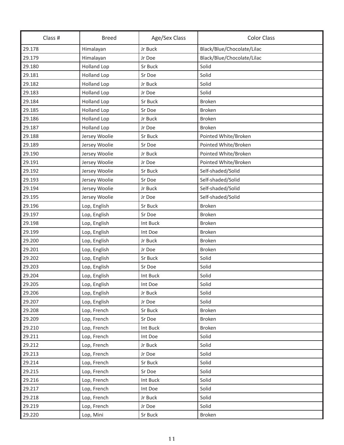| Class # | <b>Breed</b>       | Age/Sex Class | <b>Color Class</b>         |  |
|---------|--------------------|---------------|----------------------------|--|
| 29.178  | Himalayan          | Jr Buck       | Black/Blue/Chocolate/Lilac |  |
| 29.179  | Himalayan          | Jr Doe        | Black/Blue/Chocolate/Lilac |  |
| 29.180  | <b>Holland Lop</b> | Sr Buck       | Solid                      |  |
| 29.181  | <b>Holland Lop</b> | Sr Doe        | Solid                      |  |
| 29.182  | <b>Holland Lop</b> | Jr Buck       | Solid                      |  |
| 29.183  | <b>Holland Lop</b> | Jr Doe        | Solid                      |  |
| 29.184  | <b>Holland Lop</b> | Sr Buck       | <b>Broken</b>              |  |
| 29.185  | <b>Holland Lop</b> | Sr Doe        | Broken                     |  |
| 29.186  | <b>Holland Lop</b> | Jr Buck       | <b>Broken</b>              |  |
| 29.187  | <b>Holland Lop</b> | Jr Doe        | <b>Broken</b>              |  |
| 29.188  | Jersey Woolie      | Sr Buck       | Pointed White/Broken       |  |
| 29.189  | Jersey Woolie      | Sr Doe        | Pointed White/Broken       |  |
| 29.190  | Jersey Woolie      | Jr Buck       | Pointed White/Broken       |  |
| 29.191  | Jersey Woolie      | Jr Doe        | Pointed White/Broken       |  |
| 29.192  | Jersey Woolie      | Sr Buck       | Self-shaded/Solid          |  |
| 29.193  | Jersey Woolie      | Sr Doe        | Self-shaded/Solid          |  |
| 29.194  | Jersey Woolie      | Jr Buck       | Self-shaded/Solid          |  |
| 29.195  | Jersey Woolie      | Jr Doe        | Self-shaded/Solid          |  |
| 29.196  | Lop, English       | Sr Buck       | <b>Broken</b>              |  |
| 29.197  | Lop, English       | Sr Doe        | Broken                     |  |
| 29.198  | Lop, English       | Int Buck      | <b>Broken</b>              |  |
| 29.199  | Lop, English       | Int Doe       | <b>Broken</b>              |  |
| 29.200  | Lop, English       | Jr Buck       | <b>Broken</b>              |  |
| 29.201  | Lop, English       | Jr Doe        | <b>Broken</b>              |  |
| 29.202  | Lop, English       | Sr Buck       | Solid                      |  |
| 29.203  | Lop, English       | Sr Doe        | Solid                      |  |
| 29.204  | Lop, English       | Int Buck      | Solid                      |  |
| 29.205  | Lop, English       | Int Doe       | Solid                      |  |
| 29.206  | Lop, English       | Jr Buck       | Solid                      |  |
| 29.207  | Lop, English       | Jr Doe        | Solid                      |  |
| 29.208  | Lop, French        | Sr Buck       | <b>Broken</b>              |  |
| 29.209  | Lop, French        | Sr Doe        | <b>Broken</b>              |  |
| 29.210  | Lop, French        | Int Buck      | <b>Broken</b>              |  |
| 29.211  | Lop, French        | Int Doe       | Solid                      |  |
| 29.212  | Lop, French        | Jr Buck       | Solid                      |  |
| 29.213  | Lop, French        | Jr Doe        | Solid                      |  |
| 29.214  | Lop, French        | Sr Buck       | Solid                      |  |
| 29.215  | Lop, French        | Sr Doe        | Solid                      |  |
| 29.216  | Lop, French        | Int Buck      | Solid                      |  |
| 29.217  | Lop, French        | Int Doe       | Solid                      |  |
| 29.218  | Lop, French        | Jr Buck       | Solid                      |  |
| 29.219  | Lop, French        | Jr Doe        | Solid                      |  |
| 29.220  | Lop, Mini          | Sr Buck       | Broken                     |  |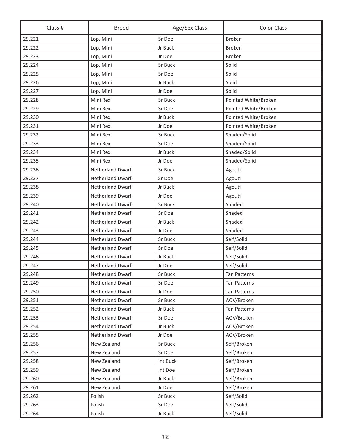| Class # | <b>Breed</b>            | Age/Sex Class | <b>Color Class</b>   |  |
|---------|-------------------------|---------------|----------------------|--|
| 29.221  | Lop, Mini               | Sr Doe        | <b>Broken</b>        |  |
| 29.222  | Lop, Mini               | Jr Buck       | <b>Broken</b>        |  |
| 29.223  | Lop, Mini               | Jr Doe        | <b>Broken</b>        |  |
| 29.224  | Lop, Mini               | Sr Buck       | Solid                |  |
| 29.225  | Lop, Mini               | Sr Doe        | Solid                |  |
| 29.226  | Lop, Mini               | Jr Buck       | Solid                |  |
| 29.227  | Lop, Mini               | Jr Doe        | Solid                |  |
| 29.228  | Mini Rex                | Sr Buck       | Pointed White/Broken |  |
| 29.229  | Mini Rex                | Sr Doe        | Pointed White/Broken |  |
| 29.230  | Mini Rex                | Jr Buck       | Pointed White/Broken |  |
| 29.231  | Mini Rex                | Jr Doe        | Pointed White/Broken |  |
| 29.232  | Mini Rex                | Sr Buck       | Shaded/Solid         |  |
| 29.233  | Mini Rex                | Sr Doe        | Shaded/Solid         |  |
| 29.234  | Mini Rex                | Jr Buck       | Shaded/Solid         |  |
| 29.235  | Mini Rex                | Jr Doe        | Shaded/Solid         |  |
| 29.236  | Netherland Dwarf        | Sr Buck       | Agouti               |  |
| 29.237  | <b>Netherland Dwarf</b> | Sr Doe        | Agouti               |  |
| 29.238  | <b>Netherland Dwarf</b> | Jr Buck       | Agouti               |  |
| 29.239  | Netherland Dwarf        | Jr Doe        | Agouti               |  |
| 29.240  | Netherland Dwarf        | Sr Buck       | Shaded               |  |
| 29.241  | Netherland Dwarf        | Sr Doe        | Shaded               |  |
| 29.242  | Netherland Dwarf        | Jr Buck       | Shaded               |  |
| 29.243  | Netherland Dwarf        | Jr Doe        | Shaded               |  |
| 29.244  | <b>Netherland Dwarf</b> | Sr Buck       | Self/Solid           |  |
| 29.245  | Netherland Dwarf        | Sr Doe        | Self/Solid           |  |
| 29.246  | <b>Netherland Dwarf</b> | Jr Buck       | Self/Solid           |  |
| 29.247  | <b>Netherland Dwarf</b> | Jr Doe        | Self/Solid           |  |
| 29.248  | Netherland Dwarf        | Sr Buck       | Tan Patterns         |  |
| 29.249  | Netherland Dwarf        | Sr Doe        | Tan Patterns         |  |
| 29.250  | Netherland Dwarf        | Jr Doe        | <b>Tan Patterns</b>  |  |
| 29.251  | Netherland Dwarf        | Sr Buck       | AOV/Broken           |  |
| 29.252  | Netherland Dwarf        | Jr Buck       | Tan Patterns         |  |
| 29.253  | Netherland Dwarf        | Sr Doe        | AOV/Broken           |  |
| 29.254  | Netherland Dwarf        | Jr Buck       | AOV/Broken           |  |
| 29.255  | <b>Netherland Dwarf</b> | Jr Doe        | AOV/Broken           |  |
| 29.256  | New Zealand             | Sr Buck       | Self/Broken          |  |
| 29.257  | New Zealand             | Sr Doe        | Self/Broken          |  |
| 29.258  | New Zealand             | Int Buck      | Self/Broken          |  |
| 29.259  | New Zealand             | Int Doe       | Self/Broken          |  |
| 29.260  | New Zealand             | Jr Buck       | Self/Broken          |  |
| 29.261  | New Zealand             | Jr Doe        | Self/Broken          |  |
| 29.262  | Polish                  | Sr Buck       | Self/Solid           |  |
| 29.263  | Polish                  | Sr Doe        | Self/Solid           |  |
| 29.264  | Polish                  | Jr Buck       | Self/Solid           |  |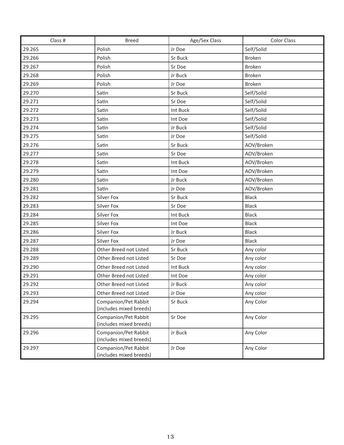| Class # | <b>Breed</b>                                    | Age/Sex Class | <b>Color Class</b> |
|---------|-------------------------------------------------|---------------|--------------------|
| 29.265  | Polish                                          | Jr Doe        | Self/Solid         |
| 29.266  | Polish                                          | Sr Buck       | <b>Broken</b>      |
| 29.267  | Polish                                          | Sr Doe        | Broken             |
| 29.268  | Polish                                          | Jr Buck       | <b>Broken</b>      |
| 29.269  | Polish                                          | Jr Doe        | Broken             |
| 29.270  | Satin                                           | Sr Buck       | Self/Solid         |
| 29.271  | Satin                                           | Sr Doe        | Self/Solid         |
| 29.272  | Satin                                           | Int Buck      | Self/Solid         |
| 29.273  | Satin                                           | Int Doe       | Self/Solid         |
| 29.274  | Satin                                           | Jr Buck       | Self/Solid         |
| 29.275  | Satin                                           | Jr Doe        | Self/Solid         |
| 29.276  | Satin                                           | Sr Buck       | AOV/Broken         |
| 29.277  | Satin                                           | Sr Doe        | AOV/Broken         |
| 29.278  | Satin                                           | Int Buck      | AOV/Broken         |
| 29.279  | Satin                                           | Int Doe       | AOV/Broken         |
| 29.280  | Satin                                           | Jr Buck       | AOV/Broken         |
| 29.281  | Satin                                           | Jr Doe        | AOV/Broken         |
| 29.282  | Silver Fox                                      | Sr Buck       | Black              |
| 29.283  | Silver Fox                                      | Sr Doe        | Black              |
| 29.284  | Silver Fox                                      | Int Buck      | <b>Black</b>       |
| 29.285  | Silver Fox                                      | Int Doe       | <b>Black</b>       |
| 29.286  | Silver Fox                                      | Jr Buck       | <b>Black</b>       |
| 29.287  | Silver Fox                                      | Jr Doe        | <b>Black</b>       |
| 29.288  | Other Breed not Listed                          | Sr Buck       | Any color          |
| 29.289  | Other Breed not Listed                          | Sr Doe        | Any color          |
| 29.290  | Other Breed not Listed                          | Int Buck      | Any color          |
| 29.291  | Other Breed not Listed                          | Int Doe       | Any color          |
| 29.292  | Other Breed not Listed                          | Jr Buck       | Any color          |
| 29.293  | Other Breed not Listed                          | Jr Doe        | Any color          |
| 29.294  | Companion/Pet Rabbit<br>(includes mixed breeds) | Sr Buck       | Any Color          |
| 29.295  | Companion/Pet Rabbit<br>(includes mixed breeds) | Sr Doe        | Any Color          |
| 29.296  | Companion/Pet Rabbit<br>(includes mixed breeds) | Jr Buck       | Any Color          |
| 29.297  | Companion/Pet Rabbit<br>(includes mixed breeds) | Jr Doe        | Any Color          |